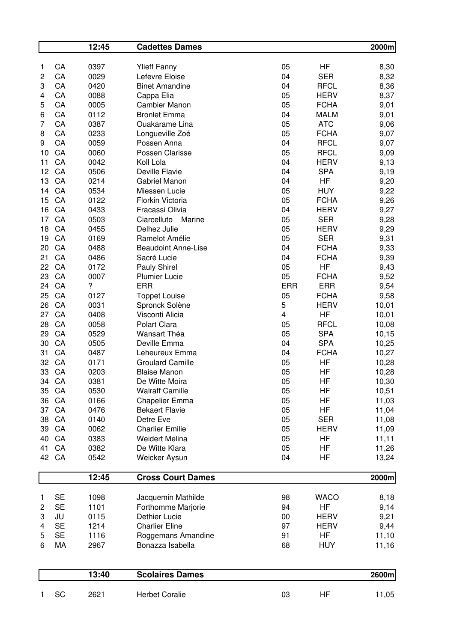|                |           | 12:45                    | <b>Cadettes Dames</b>      |                         |             | 2000m |
|----------------|-----------|--------------------------|----------------------------|-------------------------|-------------|-------|
| 1              | CA        | 0397                     | <b>Ylieff Fanny</b>        | 05                      | HF          | 8,30  |
| $\mathbf{2}$   | CA        | 0029                     | Lefevre Eloise             | 04                      | <b>SER</b>  | 8,32  |
| 3              | CA        | 0420                     | <b>Binet Amandine</b>      | 04                      | <b>RFCL</b> | 8,36  |
| 4              | CA        | 0088                     | Cappa Elia                 | 05                      | <b>HERV</b> | 8,37  |
| 5              | CA        | 0005                     | <b>Cambier Manon</b>       | 05                      | <b>FCHA</b> | 9,01  |
| 6              | CA        | 0112                     | <b>Bronlet Emma</b>        | 04                      | <b>MALM</b> | 9,01  |
| 7              | CA        | 0387                     | Ouakarame Lina             | 05                      | <b>ATC</b>  | 9,06  |
| 8              | CA        | 0233                     | Longueville Zoé            | 05                      | <b>FCHA</b> | 9,07  |
| 9              | CA        | 0059                     | Possen Anna                | 04                      | <b>RFCL</b> | 9,07  |
| 10             | CA        | 0060                     | Possen Clarisse            | 05                      | <b>RFCL</b> | 9,09  |
| 11             | CA        | 0042                     | Koll Lola                  | 04                      | <b>HERV</b> | 9,13  |
| 12             | CA        | 0506                     | Deville Flavie             | 04                      | <b>SPA</b>  | 9,19  |
| 13             | CA        | 0214                     | Gabriel Manon              | 04                      | <b>HF</b>   | 9,20  |
| 14             | CA        | 0534                     | Miessen Lucie              | 05                      | <b>HUY</b>  | 9,22  |
| 15             | CA        | 0122                     | Florkin Victoria           | 05                      | <b>FCHA</b> | 9,26  |
| 16             | CA        | 0433                     | Fracassi Olivia            | 04                      | <b>HERV</b> | 9,27  |
| 17             | CA        | 0503                     | Ciarcelluto<br>Marine      | 05                      | <b>SER</b>  | 9,28  |
| 18             | CA        | 0455                     | Delhez Julie               | 05                      | <b>HERV</b> | 9,29  |
| 19             | CA        | 0169                     | Ramelot Amélie             | 05                      | <b>SER</b>  | 9,31  |
| 20             | CA        | 0488                     | <b>Beaudoint Anne-Lise</b> | 04                      | <b>FCHA</b> | 9,33  |
| 21             | CA        | 0486                     | Sacré Lucie                | 04                      | <b>FCHA</b> | 9,39  |
| 22             | CA        | 0172                     | Pauly Shirel               | 05                      | HF          | 9,43  |
| 23             | CA        | 0007                     | <b>Plumier Lucie</b>       | 05                      | <b>FCHA</b> | 9,52  |
| 24             | CA        | $\overline{\mathcal{C}}$ | <b>ERR</b>                 | <b>ERR</b>              | <b>ERR</b>  | 9,54  |
| 25             | CA        | 0127                     | <b>Toppet Louise</b>       | 05                      | <b>FCHA</b> | 9,58  |
| 26             | CA        | 0031                     | Spronck Solène             | 5                       | <b>HERV</b> | 10,01 |
| 27             | CA        | 0408                     | Visconti Alicia            | $\overline{\mathbf{4}}$ | HF          | 10,01 |
| 28             | CA        | 0058                     | Polart Clara               | 05                      | <b>RFCL</b> | 10,08 |
| 29             | CA        | 0529                     | Wansart Théa               | 05                      | <b>SPA</b>  | 10,15 |
| 30             | CA        | 0505                     | Deville Emma               | 04                      | <b>SPA</b>  | 10,25 |
| 31             | CA        | 0487                     | Leheureux Emma             | 04                      | <b>FCHA</b> | 10,27 |
| 32             | CA        | 0171                     | <b>Groulard Camille</b>    | 05                      | HF          | 10,28 |
| 33             | CA        | 0203                     | <b>Blaise Manon</b>        | 05                      | <b>HF</b>   | 10,28 |
|                | 34 CA     | 0381                     | De Witte Moira             | 05                      | HF          | 10,30 |
| 35             | CA        | 0530                     | <b>Walraff Camille</b>     | 05                      | HF          | 10,51 |
| 36             | CA        | 0166                     | <b>Chapelier Emma</b>      | 05                      | HF          | 11,03 |
| 37             | CA        | 0476                     | <b>Bekaert Flavie</b>      | 05                      | HF          | 11,04 |
| 38             | CA        | 0140                     | Detre Eve                  | 05                      | <b>SER</b>  | 11,08 |
| 39             | CA        | 0062                     | <b>Charlier Emilie</b>     | 05                      | <b>HERV</b> | 11,09 |
| 40             | CA        | 0383                     | <b>Weidert Melina</b>      | 05                      | HF          | 11,11 |
| 41             | CA        | 0382                     | De Witte Klara             | 05                      | HF          | 11,26 |
|                | 42 CA     | 0542                     | Weicker Aysun              | 04                      | HF          | 13,24 |
|                |           | 12:45                    | <b>Cross Court Dames</b>   |                         |             | 2000m |
|                |           |                          |                            |                         |             |       |
| 1              | <b>SE</b> | 1098                     | Jacquemin Mathilde         | 98                      | <b>WACO</b> | 8,18  |
| $\overline{c}$ | <b>SE</b> | 1101                     | Forthomme Marjorie         | 94                      | HF          | 9,14  |
| 3              | JU        | 0115                     | Dethier Lucie              | 00                      | <b>HERV</b> | 9,21  |
| 4              | <b>SE</b> | 1214                     | <b>Charlier Eline</b>      | 97                      | <b>HERV</b> | 9,44  |
| 5              | <b>SE</b> | 1116                     | Roggemans Amandine         | 91                      | HF          | 11,10 |
| 6              | MA        | 2967                     | Bonazza Isabella           | 68                      | <b>HUY</b>  | 11,16 |
|                |           |                          |                            |                         |             |       |
|                |           | 13:40                    | <b>Scolaires Dames</b>     |                         |             | 2600m |
| 1              | SC        | 2621                     | <b>Herbet Coralie</b>      | 03                      | HF          | 11,05 |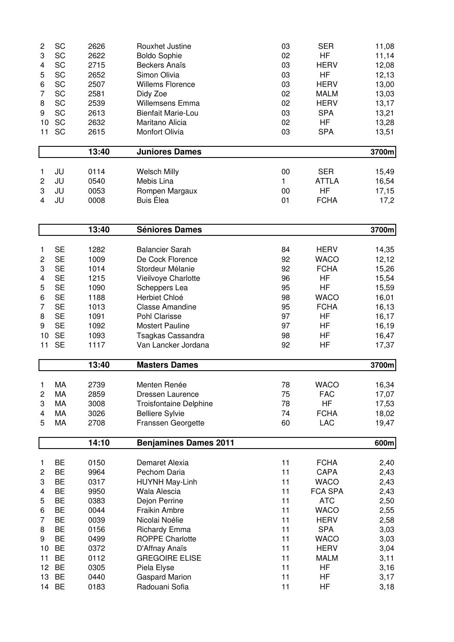| $\overline{c}$ | SC        | 2626  | Rouxhet Justine               | 03           | <b>SER</b>   | 11,08 |
|----------------|-----------|-------|-------------------------------|--------------|--------------|-------|
| 3              | SC        | 2622  | <b>Boldo Sophie</b>           | 02           | <b>HF</b>    | 11,14 |
| 4              | SC        | 2715  | <b>Beckers Anaïs</b>          | 03           | <b>HERV</b>  | 12,08 |
| 5              | SC        | 2652  | Simon Olivia                  | 03           | HF           | 12,13 |
| 6              | <b>SC</b> | 2507  | <b>Willems Florence</b>       | 03           | <b>HERV</b>  | 13,00 |
| 7              | <b>SC</b> | 2581  | Didy Zoe                      | 02           | <b>MALM</b>  | 13,03 |
| 8              | SC        | 2539  | <b>Willemsens Emma</b>        | 02           | <b>HERV</b>  | 13,17 |
| 9              | SC        | 2613  | <b>Bienfait Marie-Lou</b>     | 03           | <b>SPA</b>   | 13,21 |
| 10             | SC        | 2632  | Maritano Alicia               | 02           | <b>HF</b>    | 13,28 |
| 11             | SC        | 2615  | Monfort Olivia                | 03           | <b>SPA</b>   | 13,51 |
|                |           | 13:40 | <b>Juniores Dames</b>         |              |              | 3700m |
| 1              | JU        | 0114  | <b>Welsch Milly</b>           | 00           | <b>SER</b>   | 15,49 |
| 2              | JU        | 0540  | Mebis Lina                    | $\mathbf{1}$ | <b>ATTLA</b> | 16,54 |
| 3              | JU        | 0053  | Rompen Margaux                | 00           | <b>HF</b>    | 17,15 |
| 4              | JU        | 0008  | <b>Buis Élea</b>              | 01           | <b>FCHA</b>  | 17,2  |
|                |           | 13:40 | <b>Séniores Dames</b>         |              |              | 3700m |
| 1              | <b>SE</b> | 1282  | <b>Balancier Sarah</b>        | 84           | <b>HERV</b>  | 14,35 |
| 2              | <b>SE</b> | 1009  | De Cock Florence              | 92           | <b>WACO</b>  | 12,12 |
| 3              | <b>SE</b> | 1014  | Stordeur Mélanie              | 92           | <b>FCHA</b>  | 15,26 |
| 4              | <b>SE</b> | 1215  | Vieilvoye Charlotte           | 96           | <b>HF</b>    | 15,54 |
| 5              | <b>SE</b> | 1090  | Scheppers Lea                 | 95           | HF           | 15,59 |
| 6              | <b>SE</b> | 1188  | Herbiet Chloé                 | 98           | <b>WACO</b>  | 16,01 |
| 7              | <b>SE</b> | 1013  | <b>Classe Amandine</b>        | 95           | <b>FCHA</b>  | 16,13 |
| 8              | <b>SE</b> | 1091  | Pohl Clarisse                 | 97           | <b>HF</b>    | 16,17 |
| 9              | <b>SE</b> | 1092  | <b>Mostert Pauline</b>        | 97           | HF           | 16,19 |
| 10             | <b>SE</b> | 1093  | Tsagkas Cassandra             | 98           | HF           | 16,47 |
| 11             | <b>SE</b> | 1117  | Van Lancker Jordana           | 92           | HF           | 17,37 |
|                |           | 13:40 | <b>Masters Dames</b>          |              |              | 3700m |
| 1              | МA        | 2739  | Menten Renée                  | 78           | WACO         | 16,34 |
| $\overline{c}$ | MA        | 2859  | Dressen Laurence              | 75           | <b>FAC</b>   | 17,07 |
| 3              | MA        | 3008  | <b>Troisfontaine Delphine</b> | 78           | HF           | 17,53 |
| 4              | MA        | 3026  | <b>Belliere Sylvie</b>        | 74           | <b>FCHA</b>  | 18,02 |
| 5              | MA        | 2708  | Franssen Georgette            | 60           | <b>LAC</b>   | 19,47 |
|                |           | 14:10 | <b>Benjamines Dames 2011</b>  |              |              | 600m  |
| 1              | BE        | 0150  | Demaret Alexia                | 11           | <b>FCHA</b>  | 2,40  |
| 2              | <b>BE</b> | 9964  | Pechom Daria                  | 11           | CAPA         | 2,43  |
| 3              | BE        | 0317  | HUYNH May-Linh                | 11           | <b>WACO</b>  | 2,43  |
| 4              | <b>BE</b> | 9950  | Wala Alescia                  | 11           | FCA SPA      | 2,43  |
| 5              | <b>BE</b> | 0383  | Dejon Perrine                 | 11           | <b>ATC</b>   | 2,50  |
| 6              | <b>BE</b> | 0044  | Fraikin Ambre                 | 11           | <b>WACO</b>  | 2,55  |
| 7              | <b>BE</b> | 0039  | Nicolai Noélie                | 11           | <b>HERV</b>  | 2,58  |
| 8              | <b>BE</b> | 0156  | <b>Richardy Emma</b>          | 11           | <b>SPA</b>   | 3,03  |
| 9              | <b>BE</b> | 0499  | <b>ROPPE Charlotte</b>        | 11           | <b>WACO</b>  | 3,03  |
| 10             | <b>BE</b> | 0372  | D'Affnay Anaïs                | 11           | <b>HERV</b>  | 3,04  |
| 11             | <b>BE</b> | 0112  | <b>GREGOIRE ELISE</b>         | 11           | <b>MALM</b>  | 3,11  |
| 12             | <b>BE</b> | 0305  | Piela Elyse                   | 11           | HF           | 3,16  |
| 13             | <b>BE</b> | 0440  | <b>Gaspard Marion</b>         | 11           | HF           | 3,17  |
| 14             | <b>BE</b> | 0183  | Radouani Sofia                | 11           | HF           | 3,18  |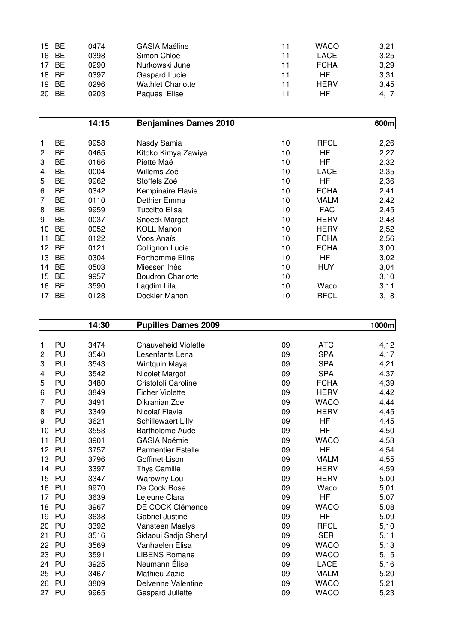|    | 15 BE     | 0474 | <b>GASIA Maéline</b>     | 11 | <b>WACO</b> | 3,21 |
|----|-----------|------|--------------------------|----|-------------|------|
|    | 16 BE     | 0398 | Simon Chloé              | 11 | LACE        | 3,25 |
| 17 | <b>BE</b> | 0290 | Nurkowski June           | 11 | <b>FCHA</b> | 3,29 |
|    | 18 BE     | 0397 | Gaspard Lucie            | 11 | HF          | 3,31 |
|    | 19 BE     | 0296 | <b>Wathlet Charlotte</b> | 11 | <b>HERV</b> | 3,45 |
|    | 20 BE     | 0203 | Paques Elise             | 11 | HF          | 4.17 |

|                |           | 14:15 | <b>Benjamines Dames 2010</b> |    |             | 600m |
|----------------|-----------|-------|------------------------------|----|-------------|------|
|                |           |       |                              |    |             |      |
| 1              | <b>BE</b> | 9958  | Nasdy Samia                  | 10 | <b>RFCL</b> | 2,26 |
| $\overline{2}$ | <b>BE</b> | 0465  | Kitoko Kimya Zawiya          | 10 | HF          | 2,27 |
| 3              | BE        | 0166  | Piette Maé                   | 10 | HF          | 2,32 |
| 4              | <b>BE</b> | 0004  | Willems Zoé                  | 10 | LACE        | 2,35 |
| 5              | <b>BE</b> | 9962  | Stoffels Zoé                 | 10 | HF          | 2,36 |
| 6              | <b>BE</b> | 0342  | Kempinaire Flavie            | 10 | <b>FCHA</b> | 2,41 |
| 7              | <b>BE</b> | 0110  | Dethier Emma                 | 10 | <b>MALM</b> | 2,42 |
| 8              | <b>BE</b> | 9959  | <b>Tuccitto Elisa</b>        | 10 | <b>FAC</b>  | 2,45 |
| 9              | <b>BE</b> | 0037  | Snoeck Margot                | 10 | <b>HERV</b> | 2,48 |
| 10             | <b>BE</b> | 0052  | <b>KOLL Manon</b>            | 10 | <b>HERV</b> | 2,52 |
| 11             | <b>BE</b> | 0122  | Voos Anaïs                   | 10 | <b>FCHA</b> | 2,56 |
| 12             | <b>BE</b> | 0121  | Collignon Lucie              | 10 | <b>FCHA</b> | 3,00 |
| 13             | BE        | 0304  | <b>Forthomme Eline</b>       | 10 | HF          | 3,02 |
| 14             | BE        | 0503  | Miessen Inès                 | 10 | <b>HUY</b>  | 3,04 |
| 15             | BE        | 9957  | <b>Boudron Charlotte</b>     | 10 |             | 3,10 |
| 16             | BE        | 3590  | Lagdim Lila                  | 10 | Waco        | 3,11 |
| 17             | <b>BE</b> | 0128  | Dockier Manon                | 10 | <b>RFCL</b> | 3,18 |

|                |    | 14:30 | <b>Pupilles Dames 2009</b> |    |             | 1000m |
|----------------|----|-------|----------------------------|----|-------------|-------|
|                |    |       |                            |    |             |       |
| 1              | PU | 3474  | <b>Chauveheid Violette</b> | 09 | <b>ATC</b>  | 4,12  |
| $\overline{c}$ | PU | 3540  | Lesenfants Lena            | 09 | <b>SPA</b>  | 4,17  |
| 3              | PU | 3543  | Wintquin Maya              | 09 | <b>SPA</b>  | 4,21  |
| 4              | PU | 3542  | Nicolet Margot             | 09 | <b>SPA</b>  | 4,37  |
| 5              | PU | 3480  | Cristofoli Caroline        | 09 | <b>FCHA</b> | 4,39  |
| 6              | PU | 3849  | <b>Ficher Violette</b>     | 09 | <b>HERV</b> | 4,42  |
| 7              | PU | 3491  | Dikranian Zoe              | 09 | <b>WACO</b> | 4,44  |
| 8              | PU | 3349  | Nicolaï Flavie             | 09 | <b>HERV</b> | 4,45  |
| 9              | PU | 3621  | Schillewaert Lilly         | 09 | HF          | 4,45  |
| 10             | PU | 3553  | <b>Bartholome Aude</b>     | 09 | HF          | 4,50  |
| 11             | PU | 3901  | <b>GASIA Noémie</b>        | 09 | <b>WACO</b> | 4,53  |
| 12             | PU | 3757  | <b>Parmentier Estelle</b>  | 09 | <b>HF</b>   | 4,54  |
| 13             | PU | 3796  | Goffinet Lison             | 09 | <b>MALM</b> | 4,55  |
| 14             | PU | 3397  | <b>Thys Camille</b>        | 09 | <b>HERV</b> | 4,59  |
| 15             | PU | 3347  | Warowny Lou                | 09 | <b>HERV</b> | 5,00  |
| 16             | PU | 9970  | De Cock Rose               | 09 | Waco        | 5,01  |
| 17             | PU | 3639  | Lejeune Clara              | 09 | <b>HF</b>   | 5,07  |
| 18             | PU | 3967  | DE COCK Clémence           | 09 | <b>WACO</b> | 5,08  |
| 19             | PU | 3638  | Gabriel Justine            | 09 | <b>HF</b>   | 5,09  |
| 20             | PU | 3392  | Vansteen Maelys            | 09 | <b>RFCL</b> | 5,10  |
| 21             | PU | 3516  | Sidaoui Sadjo Sheryl       | 09 | <b>SER</b>  | 5,11  |
| 22             | PU | 3569  | Vanhaelen Elisa            | 09 | <b>WACO</b> | 5,13  |
| 23             | PU | 3591  | <b>LIBENS Romane</b>       | 09 | <b>WACO</b> | 5,15  |
| 24             | PU | 3925  | Neumann Élise              | 09 | <b>LACE</b> | 5,16  |
| 25             | PU | 3467  | Mathieu Zazie              | 09 | <b>MALM</b> | 5,20  |
| 26             | PU | 3809  | Delvenne Valentine         | 09 | <b>WACO</b> | 5,21  |
| 27             | PU | 9965  | <b>Gaspard Juliette</b>    | 09 | <b>WACO</b> | 5,23  |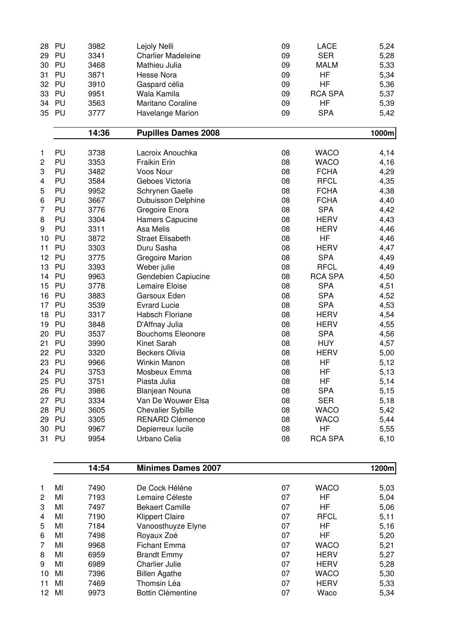| 28 | PU    | 3982  | Lejoly Nelli               | 09 | LACE           | 5,24   |
|----|-------|-------|----------------------------|----|----------------|--------|
| 29 | PU    | 3341  | <b>Charlier Madeleine</b>  | 09 | <b>SER</b>     | 5,28   |
| 30 | PU    | 3468  | Mathieu Julia              | 09 | <b>MALM</b>    | 5,33   |
| 31 | PU    | 3871  | <b>Hesse Nora</b>          | 09 | HF             | 5,34   |
| 32 | PU    | 3910  | Gaspard célia              | 09 | HF             | 5,36   |
| 33 | PU    | 9951  | Wala Kamila                | 09 | <b>RCA SPA</b> | 5,37   |
| 34 | PU    | 3563  | Maritano Coraline          | 09 | <b>HF</b>      | 5,39   |
| 35 | PU    | 3777  | Havelange Marion           | 09 | <b>SPA</b>     | 5,42   |
|    |       | 14:36 | <b>Pupilles Dames 2008</b> |    |                | 1000m  |
|    |       |       |                            |    |                |        |
| 1  | PU    | 3738  | Lacroix Anouchka           | 08 | <b>WACO</b>    | 4,14   |
| 2  | PU    | 3353  | <b>Fraikin Erin</b>        | 08 | <b>WACO</b>    | 4,16   |
| 3  | PU    | 3482  | Voos Nour                  | 08 | <b>FCHA</b>    | 4,29   |
| 4  | PU    | 3584  | Geboes Victoria            | 08 | <b>RFCL</b>    | 4,35   |
| 5  | PU    | 9952  | Schrynen Gaelle            | 08 | <b>FCHA</b>    | 4,38   |
| 6  | PU    | 3667  | Dubuisson Delphine         | 08 | <b>FCHA</b>    | 4,40   |
| 7  | PU    | 3776  | Gregoire Enora             | 08 | <b>SPA</b>     | 4,42   |
| 8  | PU    | 3304  | Hamers Capucine            | 08 | <b>HERV</b>    | 4,43   |
| 9  | PU    | 3311  | Asa Melis                  | 08 | <b>HERV</b>    | 4,46   |
| 10 | PU    | 3872  | <b>Straet Elisabeth</b>    | 08 | HF             | 4,46   |
| 11 | PU    | 3303  | Duru Sasha                 | 08 | <b>HERV</b>    | 4,47   |
| 12 | PU    | 3775  | <b>Gregoire Marion</b>     | 08 | <b>SPA</b>     | 4,49   |
| 13 | PU    | 3393  | Weber julie                | 08 | <b>RFCL</b>    | 4,49   |
| 14 | PU    | 9963  | Gendebien Capiucine        | 08 | <b>RCA SPA</b> | 4,50   |
| 15 | PU    | 3778  | Lemaire Eloise             | 08 | <b>SPA</b>     | 4,51   |
| 16 | PU    | 3883  | Garsoux Eden               | 08 | <b>SPA</b>     | 4,52   |
| 17 | PU    | 3539  | <b>Evrard Lucie</b>        | 08 | <b>SPA</b>     | 4,53   |
| 18 | PU    | 3317  | Habsch Floriane            | 08 | <b>HERV</b>    | 4,54   |
| 19 | PU    | 3848  | D'Affnay Julia             | 08 | <b>HERV</b>    | 4,55   |
| 20 | PU    | 3537  | <b>Bouchoms Eleonore</b>   | 08 | <b>SPA</b>     | 4,56   |
| 21 | PU    | 3990  | Kinet Sarah                | 08 | <b>HUY</b>     | 4,57   |
| 22 | PU    | 3320  | <b>Beckers Olivia</b>      | 08 | <b>HERV</b>    | 5,00   |
| 23 | PU    | 9966  | Winkin Manon               | 08 | HF             | 5,12   |
| 24 | PU    | 3753  | Mosbeux Emma               | 08 | HF             | 5,13   |
| 25 | PU    | 3751  | Piasta Julia               | 08 | HF             | 5,14   |
|    | 26 PU | 3986  | Blanjean Nouna             | 08 | <b>SPA</b>     | 5,15   |
|    | 27 PU | 3334  | Van De Wouwer Elsa         | 08 | <b>SER</b>     | 5,18   |
| 28 | PU    | 3605  | <b>Chevalier Sybille</b>   | 08 | <b>WACO</b>    | 5,42   |
| 29 | PU    | 3305  | RENARD Clémence            | 08 | <b>WACO</b>    | 5,44   |
|    | 30 PU | 9967  | Depierreux lucile          | 08 | HF             | 5,55   |
| 31 | PU    | 9954  | Urbano Celia               | 08 | <b>RCA SPA</b> | 6,10   |
|    |       |       |                            |    |                |        |
|    |       | 14:54 | <b>Minimes Dames 2007</b>  |    |                | 1200ml |

|              |    | .    | IIIIIIIIIIUU DUIIIUU LUVI |    |             | .    |
|--------------|----|------|---------------------------|----|-------------|------|
|              |    |      |                           |    |             |      |
| $\mathbf{1}$ | MI | 7490 | De Cock Hélène            | 07 | <b>WACO</b> | 5,03 |
| $\mathbf{2}$ | MI | 7193 | Lemaire Céleste           | 07 | ΗF          | 5,04 |
| 3            | MI | 7497 | <b>Bekaert Camille</b>    | 07 | ΗF          | 5,06 |
| 4            | MI | 7190 | <b>Klippert Claire</b>    | 07 | <b>RFCL</b> | 5,11 |
| 5            | MI | 7184 | Vanoosthuyze Elyne        | 07 | ΗF          | 5,16 |
| 6            | MI | 7498 | Royaux Zoé                | 07 | ΗF          | 5,20 |
| 7            | MI | 9968 | Fichant Emma              | 07 | <b>WACO</b> | 5,21 |
| 8            | MI | 6959 | <b>Brandt Emmy</b>        | 07 | <b>HERV</b> | 5,27 |
| 9            | MI | 6989 | <b>Charlier Julie</b>     | 07 | <b>HERV</b> | 5,28 |
| 10           | MI | 7396 | <b>Billen Agathe</b>      | 07 | <b>WACO</b> | 5,30 |
| 11           | MI | 7469 | Thomsin Léa               | 07 | <b>HERV</b> | 5,33 |
| 12           | MI | 9973 | Bottin Clémentine         | 07 | Waco        | 5,34 |
|              |    |      |                           |    |             |      |